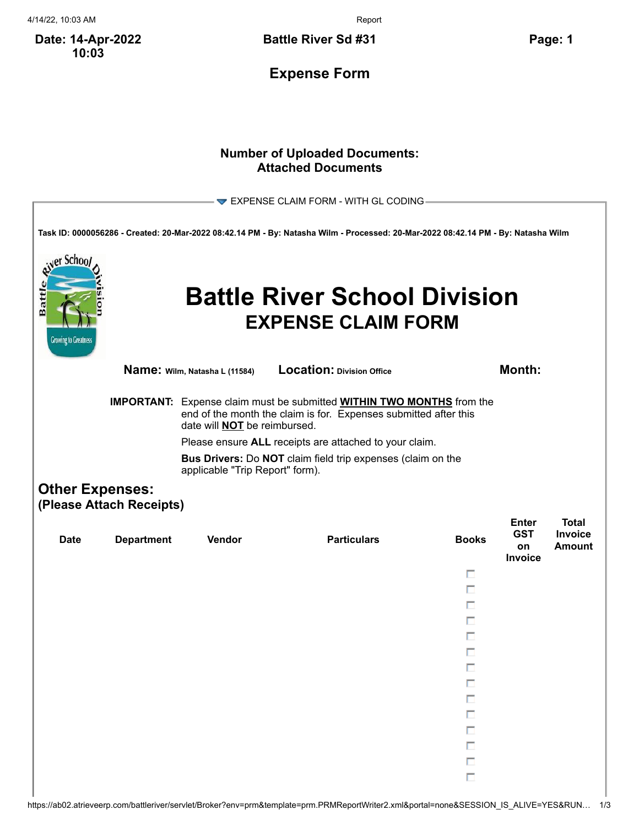4/14/22, 10:03 AM Report

**Date: 14-Apr-2022 10:03**

**Battle River Sd #31 Page: 1**

**Expense Form**

## **Number of Uploaded Documents: Attached Documents**

|                                                  |                                                                                                                                                                                                                                                                                                                                                                          |                               | $\blacktriangleright$ EXPENSE CLAIM FORM - WITH GL CODING                                                                         |              |                                             |                                          |
|--------------------------------------------------|--------------------------------------------------------------------------------------------------------------------------------------------------------------------------------------------------------------------------------------------------------------------------------------------------------------------------------------------------------------------------|-------------------------------|-----------------------------------------------------------------------------------------------------------------------------------|--------------|---------------------------------------------|------------------------------------------|
|                                                  |                                                                                                                                                                                                                                                                                                                                                                          |                               | Task ID: 0000056286 - Created: 20-Mar-2022 08:42.14 PM - By: Natasha Wilm - Processed: 20-Mar-2022 08:42.14 PM - By: Natasha Wilm |              |                                             |                                          |
| er Schoo<br>Battl<br><b>Growing to Greatness</b> |                                                                                                                                                                                                                                                                                                                                                                          |                               | <b>Battle River School Division</b><br><b>EXPENSE CLAIM FORM</b>                                                                  |              |                                             |                                          |
|                                                  |                                                                                                                                                                                                                                                                                                                                                                          | Name: Wilm, Natasha L (11584) | <b>Location: Division Office</b>                                                                                                  |              | Month:                                      |                                          |
|                                                  | <b>IMPORTANT:</b> Expense claim must be submitted <b>WITHIN TWO MONTHS</b> from the<br>end of the month the claim is for. Expenses submitted after this<br>date will <b>NOT</b> be reimbursed.<br>Please ensure ALL receipts are attached to your claim.<br><b>Bus Drivers:</b> Do <b>NOT</b> claim field trip expenses (claim on the<br>applicable "Trip Report" form). |                               |                                                                                                                                   |              |                                             |                                          |
| <b>Other Expenses:</b>                           | (Please Attach Receipts)                                                                                                                                                                                                                                                                                                                                                 |                               |                                                                                                                                   |              |                                             |                                          |
| <b>Date</b>                                      | <b>Department</b>                                                                                                                                                                                                                                                                                                                                                        | Vendor                        | <b>Particulars</b>                                                                                                                | <b>Books</b> | <b>Enter</b><br><b>GST</b><br>on<br>Invoice | <b>Total</b><br>Invoice<br><b>Amount</b> |
|                                                  |                                                                                                                                                                                                                                                                                                                                                                          |                               |                                                                                                                                   | п            |                                             |                                          |
|                                                  |                                                                                                                                                                                                                                                                                                                                                                          |                               |                                                                                                                                   | п<br>п       |                                             |                                          |
|                                                  |                                                                                                                                                                                                                                                                                                                                                                          |                               |                                                                                                                                   | п            |                                             |                                          |
|                                                  |                                                                                                                                                                                                                                                                                                                                                                          |                               |                                                                                                                                   |              |                                             |                                          |
|                                                  |                                                                                                                                                                                                                                                                                                                                                                          |                               |                                                                                                                                   |              |                                             |                                          |
|                                                  |                                                                                                                                                                                                                                                                                                                                                                          |                               |                                                                                                                                   |              |                                             |                                          |
|                                                  |                                                                                                                                                                                                                                                                                                                                                                          |                               |                                                                                                                                   | П            |                                             |                                          |
|                                                  |                                                                                                                                                                                                                                                                                                                                                                          |                               |                                                                                                                                   | П            |                                             |                                          |
|                                                  |                                                                                                                                                                                                                                                                                                                                                                          |                               |                                                                                                                                   | п            |                                             |                                          |
|                                                  |                                                                                                                                                                                                                                                                                                                                                                          |                               |                                                                                                                                   | П            |                                             |                                          |
|                                                  |                                                                                                                                                                                                                                                                                                                                                                          |                               |                                                                                                                                   | П<br>П       |                                             |                                          |
|                                                  |                                                                                                                                                                                                                                                                                                                                                                          |                               |                                                                                                                                   |              |                                             |                                          |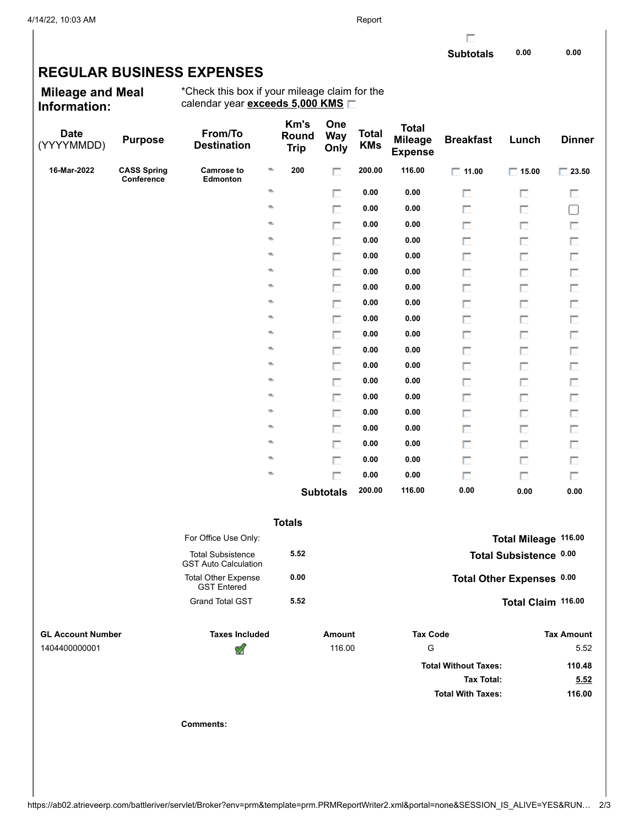г

## **REGULAR BUSINESS EXPENSES**

**Mileage and Meal Information:**

\*Check this box if your mileage claim for the calendar year **exceeds 5,000 KMS**

| <b>Date</b><br>(YYYYMMDD) | <b>Purpose</b>                   | From/To<br><b>Destination</b>                           | Km's<br>Round<br><b>Trip</b> | One<br><b>Way</b><br>Only | <b>Total</b><br><b>KMs</b> | <b>Total</b><br><b>Mileage</b><br><b>Expense</b> | <b>Breakfast</b>            | Lunch                     | <b>Dinner</b>     |
|---------------------------|----------------------------------|---------------------------------------------------------|------------------------------|---------------------------|----------------------------|--------------------------------------------------|-----------------------------|---------------------------|-------------------|
| 16-Mar-2022               | <b>CASS Spring</b><br>Conference | <b>Camrose to</b><br>G<br>Edmonton                      | 200                          | П                         | 200.00                     | 116.00                                           | $\Box$ 11.00                | $\Box$ 15.00              | $\Box$ 23.50      |
|                           |                                  | ø                                                       |                              | П                         | 0.00                       | 0.00                                             | П                           | П                         | П                 |
|                           |                                  | ø                                                       |                              | П                         | 0.00                       | 0.00                                             | П                           | П                         | $\Box$            |
|                           |                                  | Ø.                                                      |                              | П                         | 0.00                       | 0.00                                             | П                           | П                         | П                 |
|                           |                                  | Ø.                                                      |                              | $\Box$                    | 0.00                       | 0.00                                             | П                           | П                         | Π                 |
|                           |                                  | Ø.                                                      |                              | П                         | 0.00                       | 0.00                                             | П                           | п                         | П                 |
|                           |                                  | ø                                                       |                              | $\Box$                    | 0.00                       | 0.00                                             | П                           | П                         | $\Box$            |
|                           |                                  | ø                                                       |                              | П                         | 0.00                       | 0.00                                             | П                           | П                         | $\Box$            |
|                           |                                  | ø                                                       |                              | $\Box$                    | 0.00                       | 0.00                                             | П                           | П                         | $\Box$            |
|                           |                                  | ø                                                       |                              | П                         | 0.00                       | 0.00                                             | П                           | п                         | П                 |
|                           |                                  | ø                                                       |                              | $\Box$                    | 0.00                       | 0.00                                             | П                           | П                         | $\Box$            |
|                           |                                  | ø                                                       |                              | П                         | 0.00                       | 0.00                                             | П                           | П                         | $\Box$            |
|                           |                                  | ø                                                       |                              | $\Box$                    | 0.00                       | 0.00                                             | П                           | П                         | $\Box$            |
|                           |                                  | ø                                                       |                              | П                         | 0.00                       | 0.00                                             | П                           | П                         | П                 |
|                           |                                  | ø                                                       |                              | $\Box$                    | 0.00                       | 0.00                                             | П                           | П                         | П                 |
|                           |                                  | ø                                                       |                              | П                         | 0.00                       | 0.00                                             | П                           | П                         | $\Box$            |
|                           |                                  | ø                                                       |                              | $\Box$                    | 0.00                       | 0.00                                             | П                           | П                         | $\Box$            |
|                           |                                  | ø                                                       |                              | П                         | 0.00                       | 0.00                                             | П                           | п                         | П                 |
|                           |                                  | ø                                                       |                              | $\Box$                    | 0.00                       | 0.00                                             | П                           | П                         | П                 |
|                           |                                  | ø                                                       |                              | п                         | 0.00                       | 0.00                                             | п                           | П                         | П                 |
|                           |                                  |                                                         |                              | <b>Subtotals</b>          | 200.00                     | 116.00                                           | 0.00                        | 0.00                      | 0.00              |
|                           |                                  |                                                         | <b>Totals</b>                |                           |                            |                                                  |                             |                           |                   |
|                           |                                  | For Office Use Only:                                    |                              |                           |                            |                                                  |                             | Total Mileage 116.00      |                   |
|                           |                                  | <b>Total Subsistence</b><br><b>GST Auto Calculation</b> | 5.52                         |                           |                            |                                                  |                             | Total Subsistence 0.00    |                   |
|                           |                                  | <b>Total Other Expense</b><br><b>GST Entered</b>        | 0.00                         |                           |                            |                                                  |                             | Total Other Expenses 0.00 |                   |
|                           |                                  | <b>Grand Total GST</b>                                  | 5.52                         |                           |                            |                                                  |                             | Total Claim 116.00        |                   |
| <b>GL Account Number</b>  |                                  | <b>Taxes Included</b>                                   |                              | <b>Amount</b>             |                            | <b>Tax Code</b>                                  |                             |                           | <b>Tax Amount</b> |
| 1404400000001             |                                  | ⅆ                                                       |                              | 116.00                    |                            | G                                                |                             |                           | 5.52              |
|                           |                                  |                                                         |                              |                           |                            |                                                  | <b>Total Without Taxes:</b> |                           | 110.48            |
|                           |                                  |                                                         |                              |                           |                            |                                                  | <b>Tax Total:</b>           |                           | 5.52              |
|                           |                                  |                                                         |                              |                           |                            |                                                  | <b>Total With Taxes:</b>    |                           | 116.00            |
|                           |                                  | <b>Comments:</b>                                        |                              |                           |                            |                                                  |                             |                           |                   |